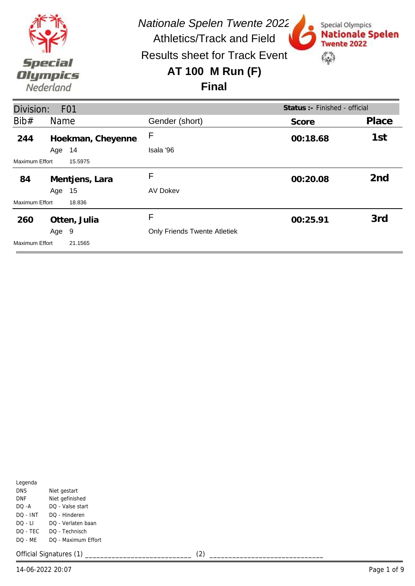

Special Olympics

**Twente 2022** 

\$

**Nationale Spelen** 

Results sheet for Track Event

### **AT 100 M Run (F)**

#### **Final**

| Division:             |       | F <sub>0</sub> 1  |                                     | Status :- Finished - official |                 |
|-----------------------|-------|-------------------|-------------------------------------|-------------------------------|-----------------|
| Bib#                  | Name  |                   | Gender (short)                      | Score                         | Place           |
| 244                   |       | Hoekman, Cheyenne | F                                   | 00:18.68                      | 1st             |
|                       | Age   | 14                | Isala '96                           |                               |                 |
| <b>Maximum Effort</b> |       | 15.5975           |                                     |                               |                 |
| 84                    |       | Mentjens, Lara    | F                                   | 00:20.08                      | 2 <sub>nd</sub> |
|                       | Age   | 15                | <b>AV Dokev</b>                     |                               |                 |
| Maximum Effort        |       | 18.836            |                                     |                               |                 |
| 260                   |       | Otten, Julia      | F                                   | 00:25.91                      | 3rd             |
|                       | Age 9 |                   | <b>Only Friends Twente Atletiek</b> |                               |                 |
| Maximum Effort        |       | 21.1565           |                                     |                               |                 |

| Legenda  |                     |
|----------|---------------------|
| DNS      | Niet gestart        |
| DNF      | Niet gefinished     |
| DO -A    | DQ - Valse start    |
| DO - INT | DO - Hinderen       |
| DO - LI  | DO - Verlaten baan  |
| DO - TEC | DO - Technisch      |
| DO - ME  | DO - Maximum Effort |
|          |                     |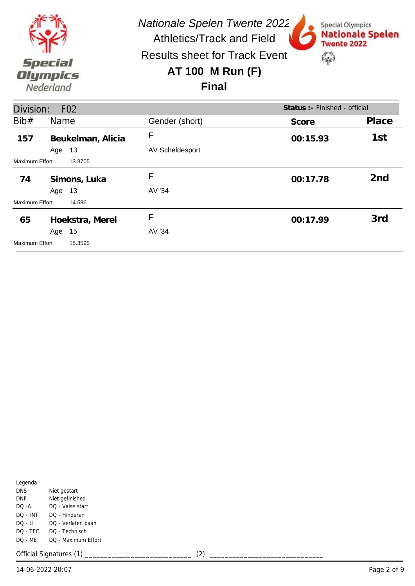

Special Olympics

**Twente 2022** 

\$

**Nationale Spelen** 

Results sheet for Track Event

# **AT 100 M Run (F)**

### **Final**

| Division:             |        | F <sub>02</sub>   |                        | Status :- Finished - official |                 |
|-----------------------|--------|-------------------|------------------------|-------------------------------|-----------------|
| Bib#                  | Name   |                   | Gender (short)         | Score                         | Place           |
| 157                   |        | Beukelman, Alicia | F                      | 00:15.93                      | 1st             |
|                       | Age    | 13                | <b>AV Scheldesport</b> |                               |                 |
| <b>Maximum Effort</b> |        | 13.3705           |                        |                               |                 |
| 74                    |        | Simons, Luka      | F                      | 00:17.78                      | 2 <sub>nd</sub> |
|                       | Age 13 |                   | AV '34                 |                               |                 |
| <b>Maximum Effort</b> |        | 14.586            |                        |                               |                 |
| 65                    |        | Hoekstra, Merel   | F                      | 00:17.99                      | 3rd             |
|                       | Age    | 15                | AV '34                 |                               |                 |
| <b>Maximum Effort</b> |        | 15.3595           |                        |                               |                 |

| Legenda   |                     |
|-----------|---------------------|
| DNS       | Niet gestart        |
| DNF       | Niet gefinished     |
| DO -A     | DO - Valse start    |
| DO - INT  | DO - Hinderen       |
| $DO - LI$ | DO - Verlaten baan  |
| DO - TEC  | DO - Technisch      |
| DO - ME   | DO - Maximum Effort |
|           |                     |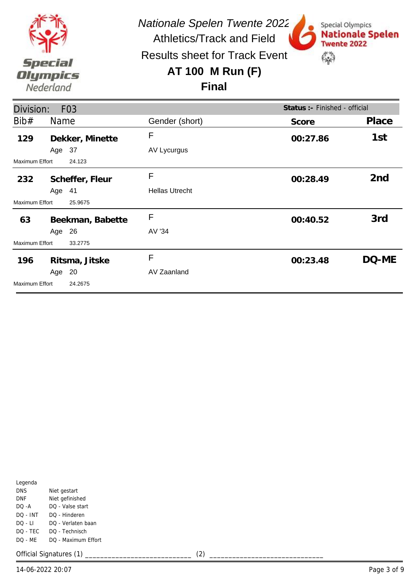

Special Olympics

**Twente 2022** 

 $\mathbb{S}^n$ 

**Nationale Spelen** 

Results sheet for Track Event

## **AT 100 M Run (F)**

#### **Final**

| Division:      |        | F <sub>03</sub>  |                       | Status : - Finished - official |                 |
|----------------|--------|------------------|-----------------------|--------------------------------|-----------------|
| Bib#           | Name   |                  | Gender (short)        | Score                          | Place           |
| 129            |        | Dekker, Minette  | F                     | 00:27.86                       | 1st             |
|                | Age 37 |                  | AV Lycurgus           |                                |                 |
| Maximum Effort |        | 24.123           |                       |                                |                 |
| 232            |        | Scheffer, Fleur  | F                     | 00:28.49                       | 2 <sub>nd</sub> |
|                | Age 41 |                  | <b>Hellas Utrecht</b> |                                |                 |
| Maximum Effort |        | 25.9675          |                       |                                |                 |
| 63             |        | Beekman, Babette | F                     | 00:40.52                       | 3rd             |
|                | Age 26 |                  | AV '34                |                                |                 |
| Maximum Effort |        | 33.2775          |                       |                                |                 |
| 196            |        | Ritsma, Jitske   | F                     | 00:23.48                       | DQ-ME           |
|                | Age 20 |                  | AV Zaanland           |                                |                 |
| Maximum Effort |        | 24.2675          |                       |                                |                 |

| Legenda  |                     |
|----------|---------------------|
| DNS      | Niet gestart        |
| DNF      | Niet gefinished     |
| DO -A    | DO - Valse start    |
| DO - INT | DO - Hinderen       |
| DO - LI  | DO - Verlaten baan  |
| DQ - TEC | DO - Technisch      |
| DO - ME  | DO - Maximum Effort |
|          |                     |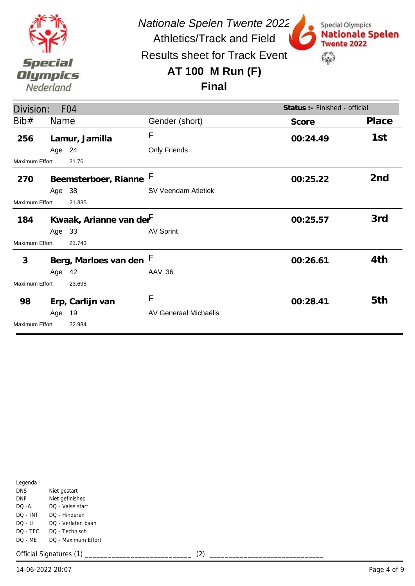

*Nationale Spelen Twente 2022*

Special Olympics

**Twente 2022** 

 $\mathbb{S}^n$ 

**Nationale Spelen** 

Athletics/Track and Field Results sheet for Track Event

# **AT 100 M Run (F)**



| Division:             |        | F <sub>04</sub>                     |                       | Status :- Finished - official |                 |
|-----------------------|--------|-------------------------------------|-----------------------|-------------------------------|-----------------|
| Bib#                  | Name   |                                     | Gender (short)        | Score                         | Place           |
| 256                   |        | Lamur, Jamilla                      | F                     | 00:24.49                      | 1st             |
|                       | Age 24 |                                     | Only Friends          |                               |                 |
| <b>Maximum Effort</b> |        | 21.76                               |                       |                               |                 |
| 270                   |        | Beemsterboer, Rianne F              |                       | 00:25.22                      | 2 <sub>nd</sub> |
|                       | Age 38 |                                     | SV Veendam Atletiek   |                               |                 |
| <b>Maximum Effort</b> |        | 21.335                              |                       |                               |                 |
| 184                   |        | Kwaak, Arianne van der <sup>F</sup> |                       | 00:25.57                      | 3rd             |
|                       | Age 33 |                                     | <b>AV Sprint</b>      |                               |                 |
| <b>Maximum Effort</b> |        | 21.743                              |                       |                               |                 |
| 3                     |        | Berg, Marloes van den F             |                       | 00:26.61                      | 4th             |
|                       | Age 42 |                                     | AAV '36               |                               |                 |
| Maximum Effort        |        | 23.698                              |                       |                               |                 |
| 98                    |        | Erp, Carlijn van                    | F                     | 00:28.41                      | 5th             |
|                       | Age    | 19                                  | AV Generaal Michaëlis |                               |                 |
| <b>Maximum Effort</b> |        | 22.984                              |                       |                               |                 |

| Legenda    |                     |  |  |  |
|------------|---------------------|--|--|--|
| <b>DNS</b> | Niet gestart        |  |  |  |
| DNF        | Niet gefinished     |  |  |  |
| $DO - A$   | DO - Valse start    |  |  |  |
| DO - INT   | DO - Hinderen       |  |  |  |
| DO - LI    | DO - Verlaten baan  |  |  |  |
| DO - TEC   | DO - Technisch      |  |  |  |
| DO - MF    | DO - Maximum Effort |  |  |  |
|            |                     |  |  |  |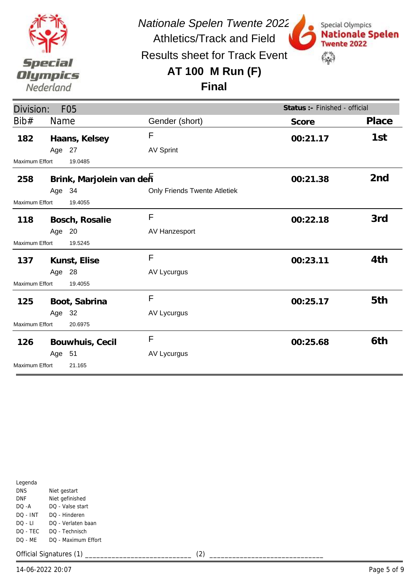

Special Olympics

**Twente 2022** 

\$

**Nationale Spelen** 

Results sheet for Track Event

# **AT 100 M Run (F)**

#### **Final**

| Division:      |        | F <sub>05</sub>          |                                     | Status :- Finished - official |                 |
|----------------|--------|--------------------------|-------------------------------------|-------------------------------|-----------------|
| Bib#           | Name   |                          | Gender (short)                      | Score                         | Place           |
| 182            |        | Haans, Kelsey            | F                                   | 00:21.17                      | 1st             |
|                | Age 27 |                          | <b>AV Sprint</b>                    |                               |                 |
| Maximum Effort |        | 19.0485                  |                                     |                               |                 |
| 258            |        | Brink, Marjolein van den |                                     | 00:21.38                      | 2 <sub>nd</sub> |
|                | Age 34 |                          | <b>Only Friends Twente Atletiek</b> |                               |                 |
| Maximum Effort |        | 19.4055                  |                                     |                               |                 |
| 118            |        | Bosch, Rosalie           | F                                   | 00:22.18                      | 3rd             |
|                | Age 20 |                          | AV Hanzesport                       |                               |                 |
| Maximum Effort |        | 19.5245                  |                                     |                               |                 |
| 137            |        | Kunst, Elise             | F                                   | 00:23.11                      | 4th             |
|                | Age 28 |                          | AV Lycurgus                         |                               |                 |
| Maximum Effort |        | 19.4055                  |                                     |                               |                 |
| 125            |        | Boot, Sabrina            | $\mathsf{F}$                        | 00:25.17                      | 5th             |
|                | Age 32 |                          | AV Lycurgus                         |                               |                 |
| Maximum Effort |        | 20.6975                  |                                     |                               |                 |
| 126            |        | Bouwhuis, Cecil          | F                                   | 00:25.68                      | 6th             |
|                | Age 51 |                          | AV Lycurgus                         |                               |                 |
| Maximum Effort |        | 21.165                   |                                     |                               |                 |

| Legenda    |                     |
|------------|---------------------|
| <b>DNS</b> | Niet gestart        |
| DNF        | Niet gefinished     |
| DO -A      | DO - Valse start    |
| DO - INT   | DO - Hinderen       |
| $DO - LI$  | DO - Verlaten baan  |
| DO - TEC   | DO - Technisch      |
| DQ - MF    | DO - Maximum Effort |
|            |                     |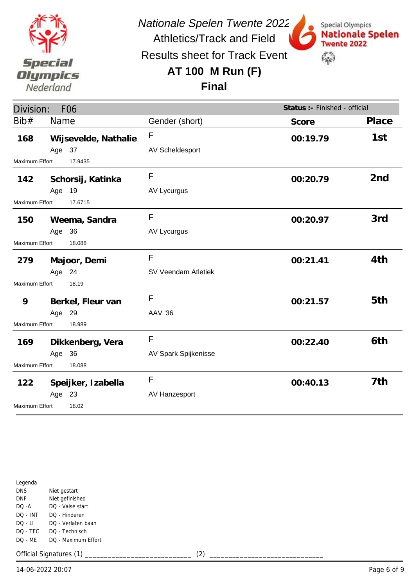

Special Olympics

**Twente 2022** 

\$

**Nationale Spelen** 

Results sheet for Track Event

# **AT 100 M Run (F)**

### **Final**

| Division:<br>F <sub>06</sub>    |                              |                      |                      | Status :- Finished - official |                 |
|---------------------------------|------------------------------|----------------------|----------------------|-------------------------------|-----------------|
| Bib#                            | Name                         |                      | Gender (short)       | Score                         | Place           |
| 168                             |                              | Wijsevelde, Nathalie | F                    | 00:19.79                      | 1st             |
|                                 | Age 37                       |                      | AV Scheldesport      |                               |                 |
| <b>Maximum Effort</b>           | 17.9435                      |                      |                      |                               |                 |
| 142                             |                              | Schorsij, Katinka    | $\mathsf{F}$         | 00:20.79                      | 2 <sub>nd</sub> |
|                                 | Age 19                       |                      | AV Lycurgus          |                               |                 |
| <b>Maximum Effort</b>           | 17.6715                      |                      |                      |                               |                 |
| 150                             | Weema, Sandra                |                      | F                    | 00:20.97                      | 3rd             |
|                                 | Age 36                       |                      | AV Lycurgus          |                               |                 |
| Maximum Effort<br>18.088        |                              |                      |                      |                               |                 |
| 279                             | Majoor, Demi                 |                      | F                    | 00:21.41                      | 4th             |
|                                 | Age 24                       |                      | SV Veendam Atletiek  |                               |                 |
| Maximum Effort                  | 18.19                        |                      |                      |                               |                 |
| 9                               |                              | Berkel, Fleur van    | F                    | 00:21.57                      | 5th             |
|                                 | Age 29                       |                      | <b>AAV '36</b>       |                               |                 |
| <b>Maximum Effort</b>           | 18.989                       |                      |                      |                               |                 |
| 169                             |                              | Dikkenberg, Vera     | $\mathsf{F}$         | 00:22.40                      | 6th             |
|                                 | Age 36                       |                      | AV Spark Spijkenisse |                               |                 |
| <b>Maximum Effort</b><br>18.088 |                              |                      |                      |                               |                 |
| 122                             | Speijker, Izabella<br>Age 23 |                      | $\mathsf{F}$         | 00:40.13                      | 7th             |
|                                 |                              |                      | AV Hanzesport        |                               |                 |
| 18.02<br>Maximum Effort         |                              |                      |                      |                               |                 |

| Legenda    |                     |
|------------|---------------------|
| <b>DNS</b> | Niet gestart        |
| DNF        | Niet gefinished     |
| DO -A      | DO - Valse start    |
| DO - INT   | DO - Hinderen       |
| $DO - LI$  | DO - Verlaten baan  |
| DQ - TEC   | DO - Technisch      |
| DQ - MF    | DO - Maximum Effort |
|            |                     |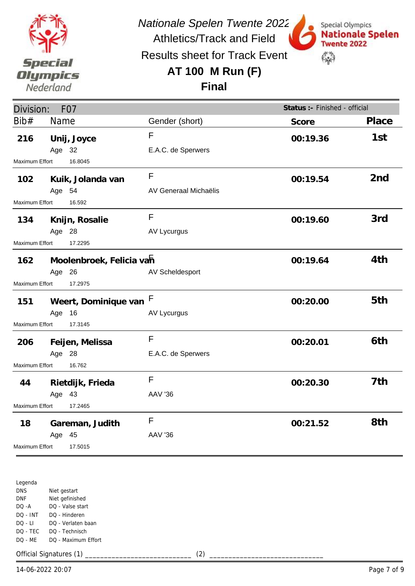

*Nationale Spelen Twente 2022*

Special Olympics

**Twente 2022** 

 $\mathbb{S}^n$ 

**Nationale Spelen** 

Athletics/Track and Field Results sheet for Track Event

# **AT 100 M Run (F)**

#### **Final**

| Division:                |        | F <sub>0</sub> 7                        |                                | Status :- Finished - official |                 |
|--------------------------|--------|-----------------------------------------|--------------------------------|-------------------------------|-----------------|
| Bib#                     | Name   |                                         | Gender (short)                 | Score                         | Place           |
| 216                      | Age 32 | Unij, Joyce                             | F<br>E.A.C. de Sperwers        | 00:19.36                      | 1st             |
| Maximum Effort           |        | 16.8045                                 |                                |                               |                 |
| 102                      | Age 54 | Kuik, Jolanda van                       | F<br>AV Generaal Michaëlis     | 00:19.54                      | 2 <sub>nd</sub> |
| <b>Maximum Effort</b>    |        | 16.592                                  |                                |                               |                 |
| 134                      | Age 28 | Knijn, Rosalie                          | F<br><b>AV Lycurgus</b>        | 00:19.60                      | 3rd             |
| Maximum Effort           |        | 17.2295                                 |                                |                               |                 |
| 162                      | Age 26 | Moolenbroek, Felicia vah                | AV Scheldesport                | 00:19.64                      | 4th             |
| Maximum Effort           |        | 17.2975                                 |                                |                               |                 |
| 151<br>Maximum Effort    | Age    | Weert, Dominique van F<br>16<br>17.3145 | <b>AV Lycurgus</b>             | 00:20.00                      | 5th             |
| 206                      | Age 28 | Feijen, Melissa                         | F<br>E.A.C. de Sperwers        | 00:20.01                      | 6th             |
| Maximum Effort<br>16.762 |        |                                         |                                |                               |                 |
| 44                       | Age 43 | Rietdijk, Frieda                        | F<br><b>AAV '36</b>            | 00:20.30                      | 7th             |
| Maximum Effort           |        | 17.2465                                 |                                |                               |                 |
| 18                       | Age    | Gareman, Judith<br>45<br>17.5015        | $\mathsf{F}$<br><b>AAV '36</b> | 00:21.52                      | 8th             |
| <b>Maximum Effort</b>    |        |                                         |                                |                               |                 |

Legenda DNS DNF DQ -A DQ - INT DQ - LI DQ - TEC DQ - ME Niet gestart Niet gefinished DQ - Valse start DQ - Hinderen DQ - Verlaten baan DQ - Technisch DQ - Maximum Effort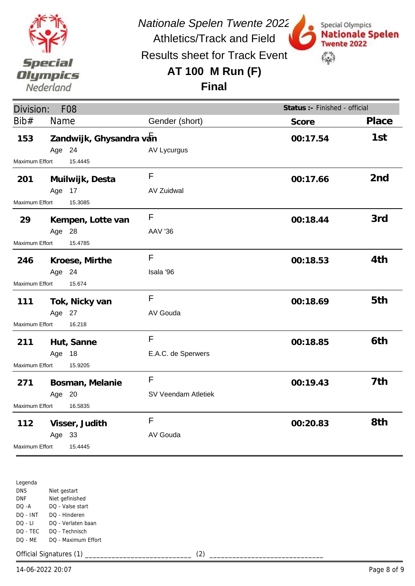

*Nationale Spelen Twente 2022*

Special Olympics

**Twente 2022** 

 $\mathbb{S}^n$ 

**Nationale Spelen** 

Athletics/Track and Field Results sheet for Track Event

### **AT 100 M Run (F)**

**Final**

| Division:                 |        | <b>F08</b>              |                     | Status :- Finished - official |                 |
|---------------------------|--------|-------------------------|---------------------|-------------------------------|-----------------|
| Bib#                      | Name   |                         | Gender (short)      | Score                         | Place           |
| 153                       | Age 24 | Zandwijk, Ghysandra van | AV Lycurgus         | 00:17.54                      | 1st             |
| <b>Maximum Effort</b>     |        | 15.4445                 |                     |                               |                 |
| 201                       |        | Muilwijk, Desta         | F                   | 00:17.66                      | 2 <sub>nd</sub> |
| Maximum Effort            | Age 17 | 15.3085                 | AV Zuidwal          |                               |                 |
| 29                        | Age 28 | Kempen, Lotte van       | F<br><b>AAV '36</b> | 00:18.44                      | 3rd             |
| Maximum Effort            |        | 15.4785                 |                     |                               |                 |
| 246                       |        | Kroese, Mirthe          | F                   | 00:18.53                      | 4th             |
|                           | Age 24 |                         | Isala '96           |                               |                 |
| Maximum Effort            |        | 15.674                  |                     |                               |                 |
| 111                       |        | Tok, Nicky van          | F                   | 00:18.69                      | 5th             |
|                           | Age 27 |                         | AV Gouda            |                               |                 |
| Maximum Effort            |        | 16.218                  |                     |                               |                 |
| 211                       |        | Hut, Sanne              | F                   | 00:18.85                      | 6th             |
|                           | Age 18 |                         | E.A.C. de Sperwers  |                               |                 |
| Maximum Effort<br>15.9205 |        |                         |                     |                               |                 |
| 271                       |        | Bosman, Melanie         | F                   | 00:19.43                      | 7th             |
|                           | Age 20 |                         | SV Veendam Atletiek |                               |                 |
| Maximum Effort            |        | 16.5835                 |                     |                               |                 |
| 112                       |        | Visser, Judith          | $\mathsf F$         | 00:20.83                      | 8th             |
|                           | Age 33 |                         | AV Gouda            |                               |                 |
| Maximum Effort            |        | 15.4445                 |                     |                               |                 |

Legenda DNS DNF DQ -A DQ - INT DQ - LI DQ - TEC DQ - ME Niet gestart Niet gefinished DQ - Valse start DQ - Hinderen DQ - Verlaten baan DQ - Technisch DQ - Maximum Effort